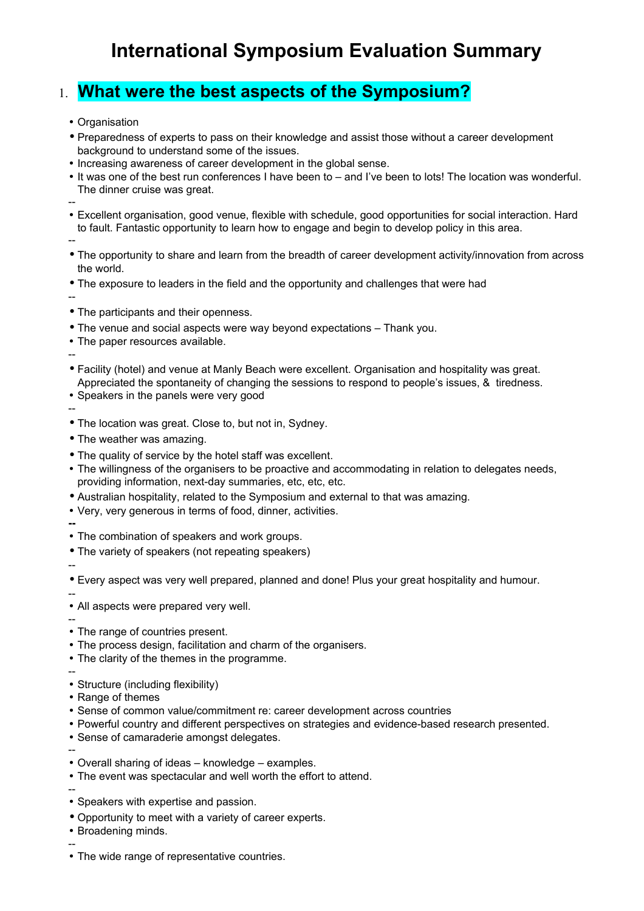## **International Symposium Evaluation Summary**

## 1. **What were the best aspects of the Symposium?**

- Organisation
- Preparedness of experts to pass on their knowledge and assist those without a career development background to understand some of the issues.
- Increasing awareness of career development in the global sense.
- It was one of the best run conferences I have been to and I've been to lots! The location was wonderful. The dinner cruise was great.
- --

• Excellent organisation, good venue, flexible with schedule, good opportunities for social interaction. Hard to fault. Fantastic opportunity to learn how to engage and begin to develop policy in this area.

- --
- The opportunity to share and learn from the breadth of career development activity/innovation from across the world.
- The exposure to leaders in the field and the opportunity and challenges that were had
- --
- The participants and their openness.
- The venue and social aspects were way beyond expectations Thank you.
- The paper resources available.
- Facility (hotel) and venue at Manly Beach were excellent. Organisation and hospitality was great. Appreciated the spontaneity of changing the sessions to respond to people's issues, & tiredness.
- Speakers in the panels were very good
- --

--

- The location was great. Close to, but not in, Sydney.
- The weather was amazing.
- The quality of service by the hotel staff was excellent.
- The willingness of the organisers to be proactive and accommodating in relation to delegates needs, providing information, next-day summaries, etc, etc, etc.
- Australian hospitality, related to the Symposium and external to that was amazing.
- Very, very generous in terms of food, dinner, activities.
- **--**
- The combination of speakers and work groups.
- The variety of speakers (not repeating speakers)

--

• Every aspect was very well prepared, planned and done! Plus your great hospitality and humour.

- All aspects were prepared very well.
- --
- The range of countries present.
- The process design, facilitation and charm of the organisers.
- The clarity of the themes in the programme.
- --
- Structure (including flexibility)
- Range of themes
- Sense of common value/commitment re: career development across countries
- Powerful country and different perspectives on strategies and evidence-based research presented.
- Sense of camaraderie amongst delegates.
- --
- Overall sharing of ideas knowledge examples.
- The event was spectacular and well worth the effort to attend.
- --
- Speakers with expertise and passion.
- Opportunity to meet with a variety of career experts.
- Broadening minds. --
- The wide range of representative countries.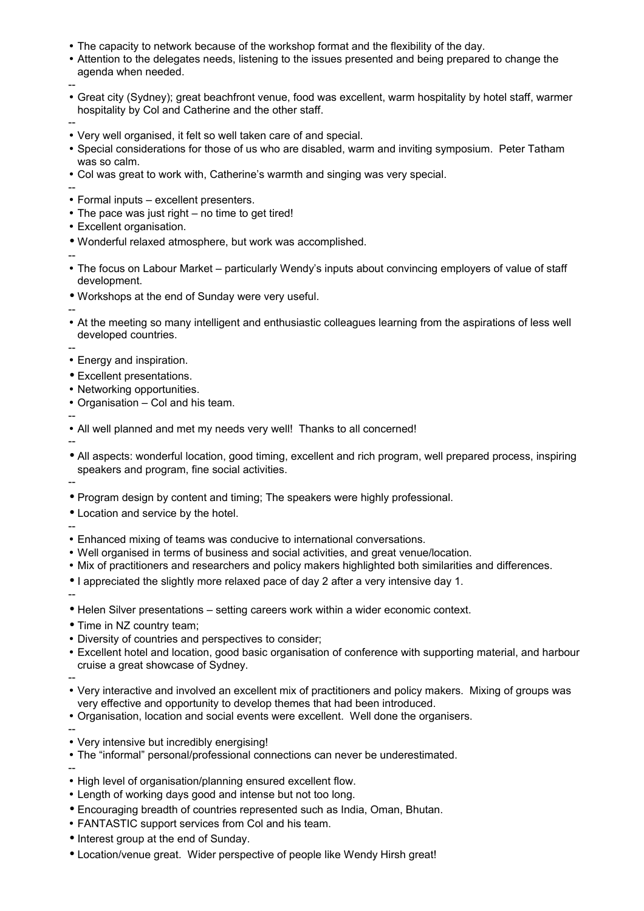- The capacity to network because of the workshop format and the flexibility of the day.
- Attention to the delegates needs, listening to the issues presented and being prepared to change the agenda when needed.
- -- • Great city (Sydney); great beachfront venue, food was excellent, warm hospitality by hotel staff, warmer hospitality by Col and Catherine and the other staff.
- -- • Very well organised, it felt so well taken care of and special.
- Special considerations for those of us who are disabled, warm and inviting symposium. Peter Tatham was so calm.
- Col was great to work with, Catherine's warmth and singing was very special.
- -- • Formal inputs – excellent presenters.
- The pace was just right no time to get tired!
- Excellent organisation.
- Wonderful relaxed atmosphere, but work was accomplished.
- -- • The focus on Labour Market – particularly Wendy's inputs about convincing employers of value of staff development.
- Workshops at the end of Sunday were very useful.
- --
- At the meeting so many intelligent and enthusiastic colleagues learning from the aspirations of less well developed countries.
- --

• Energy and inspiration.

- Excellent presentations.
- Networking opportunities.
- Organisation Col and his team.

-- • All well planned and met my needs very well! Thanks to all concerned!

--

--

- All aspects: wonderful location, good timing, excellent and rich program, well prepared process, inspiring speakers and program, fine social activities.
- Program design by content and timing; The speakers were highly professional.
- Location and service by the hotel.
- -- • Enhanced mixing of teams was conducive to international conversations.
- Well organised in terms of business and social activities, and great venue/location.
- Mix of practitioners and researchers and policy makers highlighted both similarities and differences.
- I appreciated the slightly more relaxed pace of day 2 after a very intensive day 1.

--

- Helen Silver presentations setting careers work within a wider economic context.
- Time in NZ country team;
- Diversity of countries and perspectives to consider;
- Excellent hotel and location, good basic organisation of conference with supporting material, and harbour cruise a great showcase of Sydney.

--

- Very interactive and involved an excellent mix of practitioners and policy makers. Mixing of groups was very effective and opportunity to develop themes that had been introduced.
- Organisation, location and social events were excellent. Well done the organisers.
- --
- Very intensive but incredibly energising!
- The "informal" personal/professional connections can never be underestimated.

- High level of organisation/planning ensured excellent flow.
- Length of working days good and intense but not too long.
- Encouraging breadth of countries represented such as India, Oman, Bhutan.
- FANTASTIC support services from Col and his team.
- Interest group at the end of Sunday.
- Location/venue great. Wider perspective of people like Wendy Hirsh great!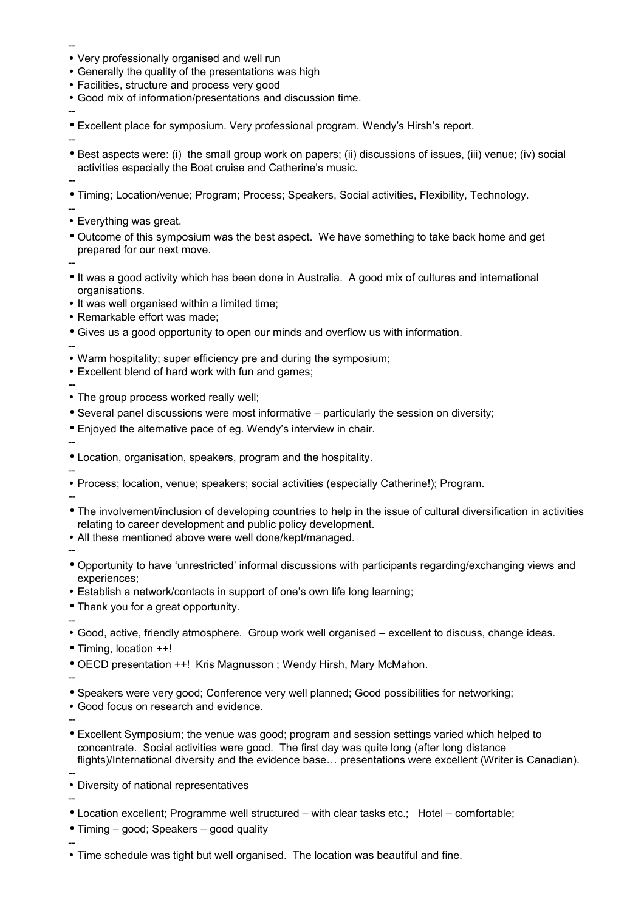- -- • Very professionally organised and well run
- Generally the quality of the presentations was high
- Facilities, structure and process very good
- Good mix of information/presentations and discussion time.
- Excellent place for symposium. Very professional program. Wendy's Hirsh's report.

--

- Best aspects were: (i) the small group work on papers; (ii) discussions of issues, (iii) venue; (iv) social activities especially the Boat cruise and Catherine's music.
- **--**
- Timing; Location/venue; Program; Process; Speakers, Social activities, Flexibility, Technology.
- --
- Everything was great.
- Outcome of this symposium was the best aspect. We have something to take back home and get prepared for our next move.

--

- It was a good activity which has been done in Australia. A good mix of cultures and international organisations.
- It was well organised within a limited time:
- Remarkable effort was made;
- Gives us a good opportunity to open our minds and overflow us with information.

--

- Warm hospitality; super efficiency pre and during the symposium;
- Excellent blend of hard work with fun and games;
- **--**
- The group process worked really well;
- Several panel discussions were most informative particularly the session on diversity;
- Enjoyed the alternative pace of eg. Wendy's interview in chair.

--

- Location, organisation, speakers, program and the hospitality.
- -- • Process; location, venue; speakers; social activities (especially Catherine!); Program.

**--**

--

--

**--**

- The involvement/inclusion of developing countries to help in the issue of cultural diversification in activities relating to career development and public policy development.
- All these mentioned above were well done/kept/managed.
- Opportunity to have 'unrestricted' informal discussions with participants regarding/exchanging views and experiences;
- Establish a network/contacts in support of one's own life long learning;
- Thank you for a great opportunity.
- -- • Good, active, friendly atmosphere. Group work well organised – excellent to discuss, change ideas.
- Timing, location ++!
- OECD presentation ++! Kris Magnusson ; Wendy Hirsh, Mary McMahon.
- Speakers were very good; Conference very well planned; Good possibilities for networking;
- Good focus on research and evidence.
	-
- Excellent Symposium; the venue was good; program and session settings varied which helped to concentrate. Social activities were good. The first day was quite long (after long distance flights)/International diversity and the evidence base... presentations were excellent (Writer is Canadian). **--**
- Diversity of national representatives

- Location excellent: Programme well structured with clear tasks etc.: Hotel comfortable:
- Timing good; Speakers good quality
- -- • Time schedule was tight but well organised. The location was beautiful and fine.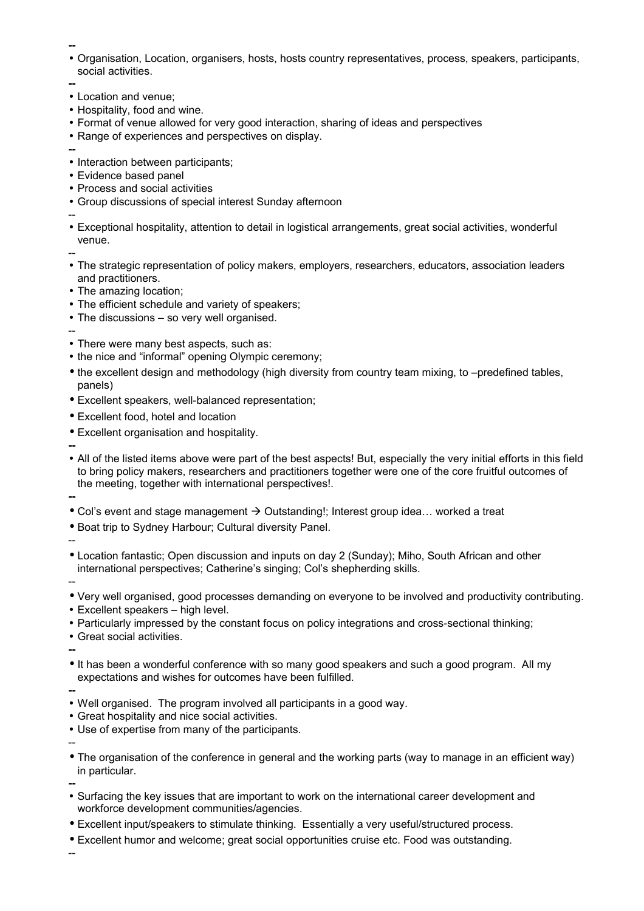- Organisation, Location, organisers, hosts, hosts country representatives, process, speakers, participants, social activities.
- **--**
- Location and venue;
- Hospitality, food and wine.
- Format of venue allowed for very good interaction, sharing of ideas and perspectives
- Range of experiences and perspectives on display.
- **--**
- Interaction between participants:
- Evidence based panel
- Process and social activities
- Group discussions of special interest Sunday afternoon

--

• Exceptional hospitality, attention to detail in logistical arrangements, great social activities, wonderful venue.

--

- The strategic representation of policy makers, employers, researchers, educators, association leaders and practitioners.
- The amazing location:
- The efficient schedule and variety of speakers;
- The discussions so very well organised.
- -- • There were many best aspects, such as:
- the nice and "informal" opening Olympic ceremony;
- the excellent design and methodology (high diversity from country team mixing, to –predefined tables, panels)
- Excellent speakers, well-balanced representation;
- Excellent food, hotel and location
- Excellent organisation and hospitality.

**--**

• All of the listed items above were part of the best aspects! But, especially the very initial efforts in this field to bring policy makers, researchers and practitioners together were one of the core fruitful outcomes of the meeting, together with international perspectives!.

**--**

- Col's event and stage management  $\rightarrow$  Outstanding!; Interest group idea... worked a treat
- Boat trip to Sydney Harbour; Cultural diversity Panel.
- Location fantastic; Open discussion and inputs on day 2 (Sunday); Miho, South African and other international perspectives; Catherine's singing; Col's shepherding skills.
- --

--

- Very well organised, good processes demanding on everyone to be involved and productivity contributing.
- Excellent speakers high level.
- Particularly impressed by the constant focus on policy integrations and cross-sectional thinking;
- Great social activities.

**--**

• It has been a wonderful conference with so many good speakers and such a good program. All my expectations and wishes for outcomes have been fulfilled.

**--**

- Well organised. The program involved all participants in a good way.
- Great hospitality and nice social activities.
- Use of expertise from many of the participants.

--

• The organisation of the conference in general and the working parts (way to manage in an efficient way) in particular.

**--**

- Surfacing the key issues that are important to work on the international career development and workforce development communities/agencies.
- Excellent input/speakers to stimulate thinking. Essentially a very useful/structured process.
- Excellent humor and welcome; great social opportunities cruise etc. Food was outstanding.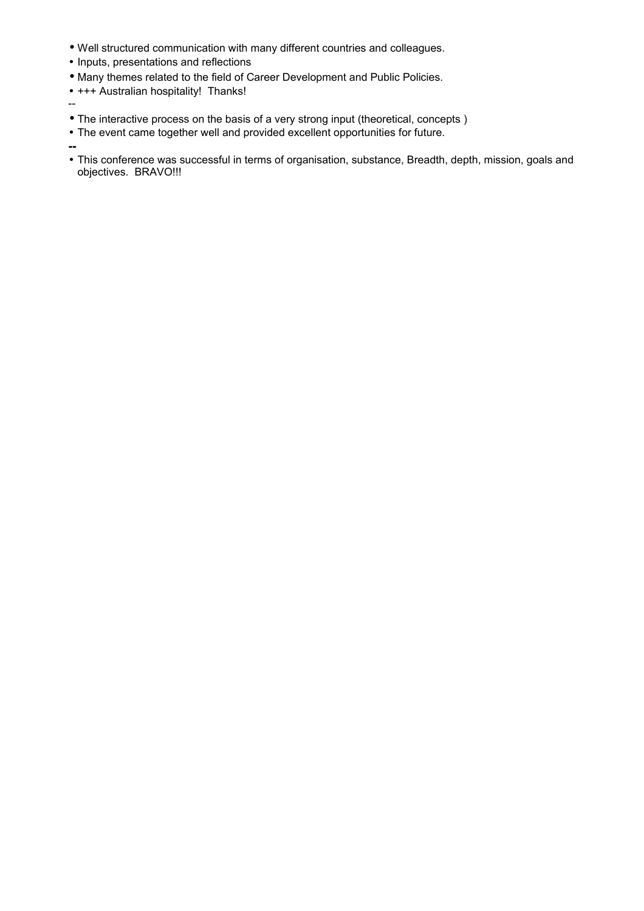- Well structured communication with many different countries and colleagues.
- Inputs, presentations and reflections
- Many themes related to the field of Career Development and Public Policies.
- +++ Australian hospitality! Thanks!
- --
- The interactive process on the basis of a very strong input (theoretical, concepts )
- The event came together well and provided excellent opportunities for future.

• This conference was successful in terms of organisation, substance, Breadth, depth, mission, goals and objectives. BRAVO!!!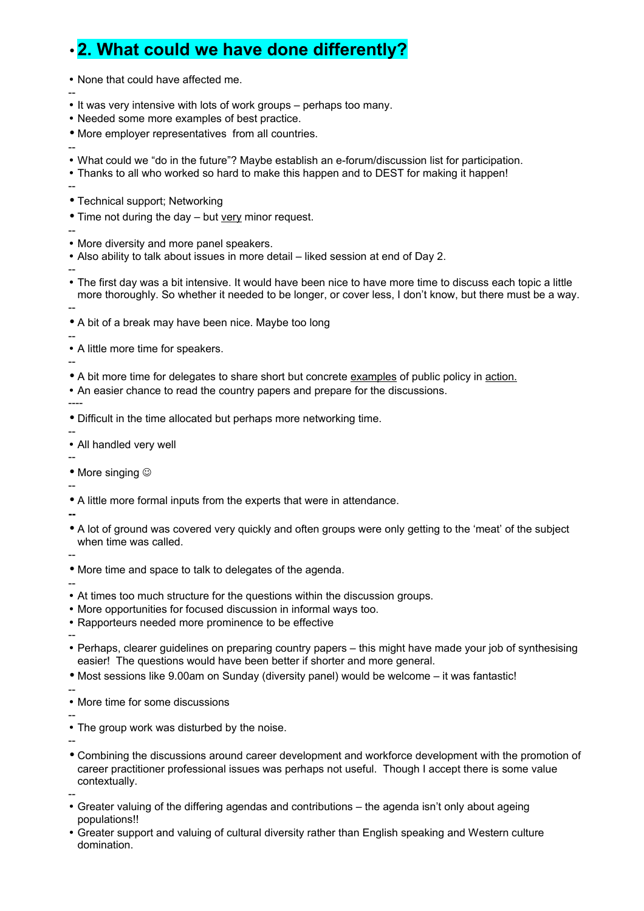## • **2. What could we have done differently?**

• None that could have affected me.

- -- • It was very intensive with lots of work groups – perhaps too many.
- Needed some more examples of best practice.
- More employer representatives from all countries.
- -- • What could we "do in the future"? Maybe establish an e-forum/discussion list for participation.
- Thanks to all who worked so hard to make this happen and to DEST for making it happen!
- --
- Technical support; Networking
- Time not during the day but very minor request.
- --
- More diversity and more panel speakers.
- Also ability to talk about issues in more detail liked session at end of Day 2.

--

• The first day was a bit intensive. It would have been nice to have more time to discuss each topic a little more thoroughly. So whether it needed to be longer, or cover less, I don't know, but there must be a way.

--

• A bit of a break may have been nice. Maybe too long

-- • A little more time for speakers.

--

- A bit more time for delegates to share short but concrete examples of public policy in action.
- An easier chance to read the country papers and prepare for the discussions.

----

- Difficult in the time allocated but perhaps more networking time.
- -- • All handled very well
- --

• More singing  $\odot$ 

--

• A little more formal inputs from the experts that were in attendance.

**--**

• A lot of ground was covered very quickly and often groups were only getting to the 'meat' of the subject when time was called.

--

- More time and space to talk to delegates of the agenda.
- -- • At times too much structure for the questions within the discussion groups.
- More opportunities for focused discussion in informal ways too.
- Rapporteurs needed more prominence to be effective
- -- • Perhaps, clearer guidelines on preparing country papers – this might have made your job of synthesising easier! The questions would have been better if shorter and more general.
- Most sessions like 9.00am on Sunday (diversity panel) would be welcome it was fantastic!

--

• More time for some discussions

--

• The group work was disturbed by the noise.

- Combining the discussions around career development and workforce development with the promotion of career practitioner professional issues was perhaps not useful. Though I accept there is some value contextually.
- -- • Greater valuing of the differing agendas and contributions – the agenda isn't only about ageing populations!!
- Greater support and valuing of cultural diversity rather than English speaking and Western culture domination.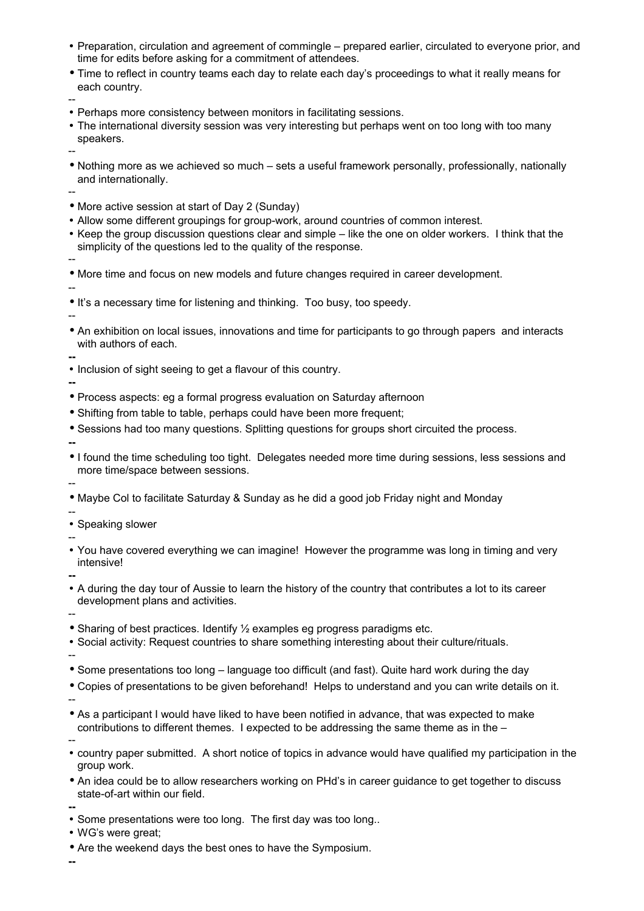- Preparation, circulation and agreement of commingle prepared earlier, circulated to everyone prior, and time for edits before asking for a commitment of attendees.
- Time to reflect in country teams each day to relate each day's proceedings to what it really means for each country.

- Perhaps more consistency between monitors in facilitating sessions.
- The international diversity session was very interesting but perhaps went on too long with too many speakers.

--

• Nothing more as we achieved so much – sets a useful framework personally, professionally, nationally and internationally.

--

- More active session at start of Day 2 (Sunday)
- Allow some different groupings for group-work, around countries of common interest.
- Keep the group discussion questions clear and simple like the one on older workers. I think that the simplicity of the questions led to the quality of the response.

--

• More time and focus on new models and future changes required in career development.

--

--

- It's a necessary time for listening and thinking. Too busy, too speedy.
- An exhibition on local issues, innovations and time for participants to go through papers and interacts with authors of each.

**--**

• Inclusion of sight seeing to get a flavour of this country.

**--**

- Process aspects: eg a formal progress evaluation on Saturday afternoon
- Shifting from table to table, perhaps could have been more frequent;
- Sessions had too many questions. Splitting questions for groups short circuited the process.

**--**

--

- I found the time scheduling too tight. Delegates needed more time during sessions, less sessions and more time/space between sessions.
- Maybe Col to facilitate Saturday & Sunday as he did a good job Friday night and Monday
- -- • Speaking slower

--

• You have covered everything we can imagine! However the programme was long in timing and very intensive!

**--**

• A during the day tour of Aussie to learn the history of the country that contributes a lot to its career development plans and activities.

--

- Sharing of best practices. Identify 1/2 examples eg progress paradigms etc.
- Social activity: Request countries to share something interesting about their culture/rituals. --
- Some presentations too long language too difficult (and fast). Quite hard work during the day
- Copies of presentations to be given beforehand! Helps to understand and you can write details on it.
- --

--

- As a participant I would have liked to have been notified in advance, that was expected to make contributions to different themes. I expected to be addressing the same theme as in the –
- country paper submitted. A short notice of topics in advance would have qualified my participation in the group work.
- An idea could be to allow researchers working on PHd's in career guidance to get together to discuss state-of-art within our field.

**--**

- Some presentations were too long. The first day was too long..
- WG's were great;
- Are the weekend days the best ones to have the Symposium.